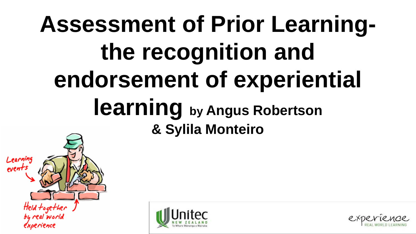# **Assessment of Prior Learningthe recognition and endorsement of experiential learning by Angus Robertson & Sylila Monteiro**





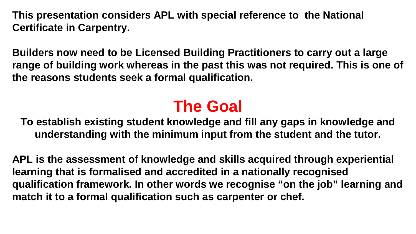**This presentation considers APL with special reference to the National Certificate in Carpentry.**

**Builders now need to be Licensed Building Practitioners to carry out a large range of building work whereas in the past this was not required. This is one of the reasons students seek a formal qualification.**

## **The Goal**

**To establish existing student knowledge and fill any gaps in knowledge and understanding with the minimum input from the student and the tutor.**

**APL is the assessment of knowledge and skills acquired through experiential learning that is formalised and accredited in a nationally recognised qualification framework. In other words we recognise "on the job" learning and match it to a formal qualification such as carpenter or chef.**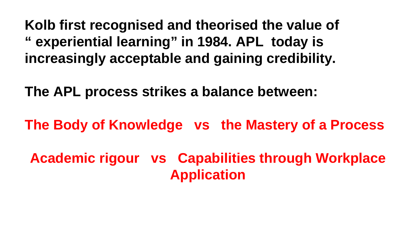**Kolb first recognised and theorised the value of " experiential learning" in 1984. APL today is increasingly acceptable and gaining credibility.** 

**The APL process strikes a balance between:** 

**The Body of Knowledge vs the Mastery of a Process**

**Academic rigour vs Capabilities through Workplace Application**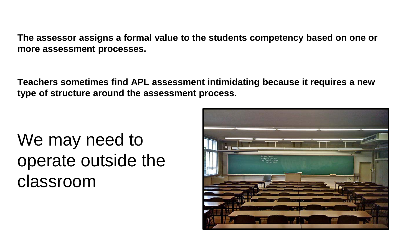**The assessor assigns a formal value to the students competency based on one or more assessment processes.**

**Teachers sometimes find APL assessment intimidating because it requires a new type of structure around the assessment process.**

We may need to operate outside the classroom

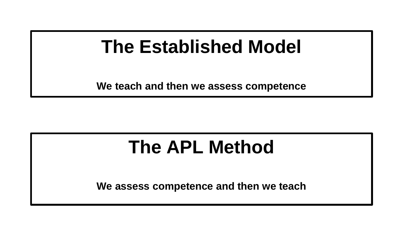# **The Established Model**

**We teach and then we assess competence**

# **The APL Method**

**We assess competence and then we teach**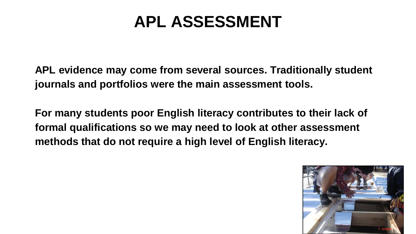## **APL ASSESSMENT**

**APL evidence may come from several sources. Traditionally student journals and portfolios were the main assessment tools.**

**For many students poor English literacy contributes to their lack of formal qualifications so we may need to look at other assessment methods that do not require a high level of English literacy.** 

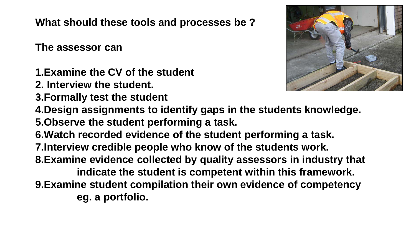**What should these tools and processes be ?**

**The assessor can**

- **1.Examine the CV of the student**
- **2. Interview the student.**
- **3.Formally test the student**



- **4.Design assignments to identify gaps in the students knowledge. 5.Observe the student performing a task.**
- **6.Watch recorded evidence of the student performing a task.**
- **7.Interview credible people who know of the students work.**
- **8.Examine evidence collected by quality assessors in industry that**

**indicate the student is competent within this framework. 9.Examine student compilation their own evidence of competency eg. a portfolio.**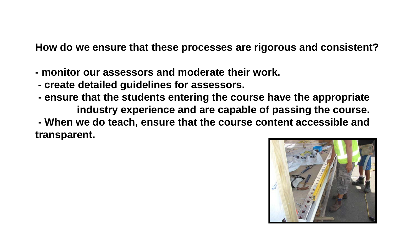**How do we ensure that these processes are rigorous and consistent?**

- **- monitor our assessors and moderate their work.**
- **- create detailed guidelines for assessors.**
- **- ensure that the students entering the course have the appropriate industry experience and are capable of passing the course. - When we do teach, ensure that the course content accessible and transparent.**

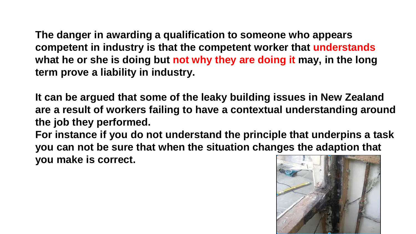**The danger in awarding a qualification to someone who appears competent in industry is that the competent worker that understands what he or she is doing but not why they are doing it may, in the long term prove a liability in industry.**

**It can be argued that some of the leaky building issues in New Zealand are a result of workers failing to have a contextual understanding around the job they performed.**

**For instance if you do not understand the principle that underpins a task you can not be sure that when the situation changes the adaption that you make is correct.** 

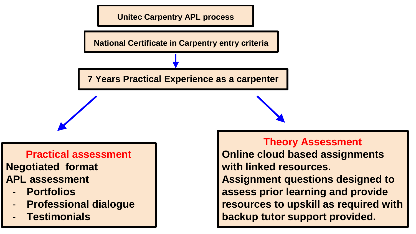

### **Practical assessment Negotiated format APL assessment**

- **Portfolios**
- **Professional dialogue**
- **Testimonials**

#### **Theory Assessment**

**Online cloud based assignments with linked resources. Assignment questions designed to assess prior learning and provide resources to upskill as required with backup tutor support provided.**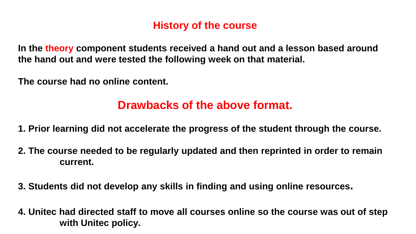### **History of the course**

**In the theory component students received a hand out and a lesson based around the hand out and were tested the following week on that material.**

**The course had no online content.**

### **Drawbacks of the above format.**

- **1. Prior learning did not accelerate the progress of the student through the course.**
- **2. The course needed to be regularly updated and then reprinted in order to remain current.**
- **3. Students did not develop any skills in finding and using online resources.**
- **4. Unitec had directed staff to move all courses online so the course was out of step with Unitec policy.**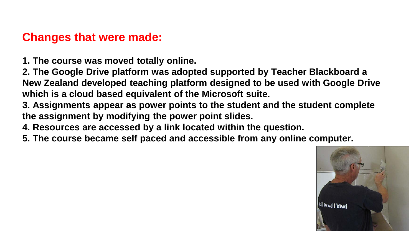### **Changes that were made:**

**1. The course was moved totally online.**

**2. The Google Drive platform was adopted supported by Teacher Blackboard a New Zealand developed teaching platform designed to be used with Google Drive which is a cloud based equivalent of the Microsoft suite.**

**3. Assignments appear as power points to the student and the student complete the assignment by modifying the power point slides.**

**4. Resources are accessed by a link located within the question.**

**5. The course became self paced and accessible from any online computer.**

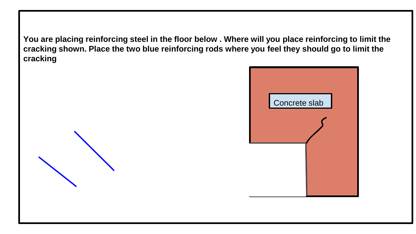**You are placing reinforcing steel in the floor below . Where will you place reinforcing to limit the cracking shown. Place the two blue reinforcing rods where you feel they should go to limit the cracking**

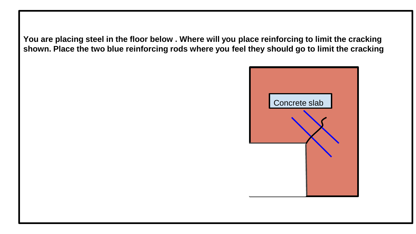**You are placing steel in the floor below . Where will you place reinforcing to limit the cracking shown. Place the two blue reinforcing rods where you feel they should go to limit the cracking**

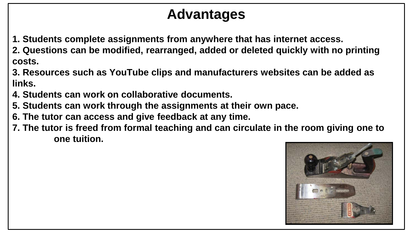## **Advantages**

- **1. Students complete assignments from anywhere that has internet access.**
- **2. Questions can be modified, rearranged, added or deleted quickly with no printing costs.**
- **3. Resources such as YouTube clips and manufacturers websites can be added as links.**
- **4. Students can work on collaborative documents.**
- **5. Students can work through the assignments at their own pace.**
- **6. The tutor can access and give feedback at any time.**
- **7. The tutor is freed from formal teaching and can circulate in the room giving one to one tuition.**

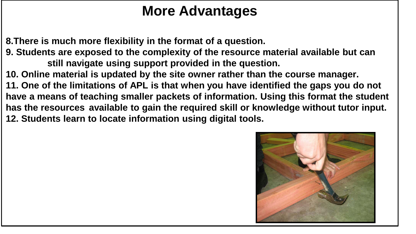## **More Advantages**

**8.There is much more flexibility in the format of a question.**

**9. Students are exposed to the complexity of the resource material available but can still navigate using support provided in the question.** 

**10. Online material is updated by the site owner rather than the course manager.**

**11. One of the limitations of APL is that when you have identified the gaps you do not have a means of teaching smaller packets of information. Using this format the student has the resources available to gain the required skill or knowledge without tutor input. 12. Students learn to locate information using digital tools.**

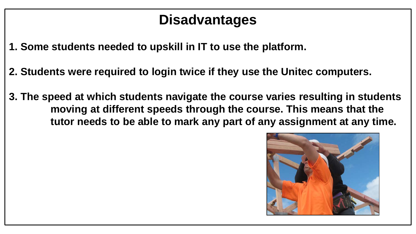## **Disadvantages**

- **1. Some students needed to upskill in IT to use the platform.**
- **2. Students were required to login twice if they use the Unitec computers.**
- **3. The speed at which students navigate the course varies resulting in students moving at different speeds through the course. This means that the tutor needs to be able to mark any part of any assignment at any time.**

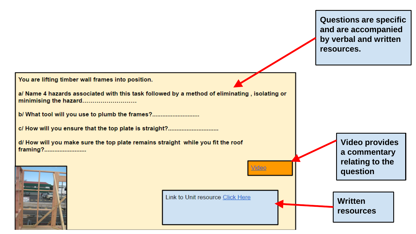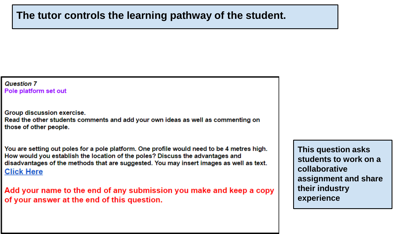#### **The tutor controls the learning pathway of the student.**

#### **Question 7** Pole platform set out

Group discussion exercise. Read the other students comments and add your own ideas as well as commenting on those of other people.

You are setting out poles for a pole platform. One profile would need to be 4 metres high. How would you establish the location of the poles? Discuss the advantages and disadvantages of the methods that are suggested. You may insert images as well as text. **Click Here** 

Add your name to the end of any submission you make and keep a copy of your answer at the end of this question.

**This question asks students to work on a collaborative assignment and share their industry experience**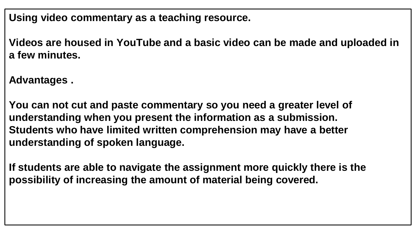**Using video commentary as a teaching resource.**

**Videos are housed in YouTube and a basic video can be made and uploaded in a few minutes.**

**Advantages .**

**You can not cut and paste commentary so you need a greater level of understanding when you present the information as a submission. Students who have limited written comprehension may have a better understanding of spoken language.**

**If students are able to navigate the assignment more quickly there is the possibility of increasing the amount of material being covered.**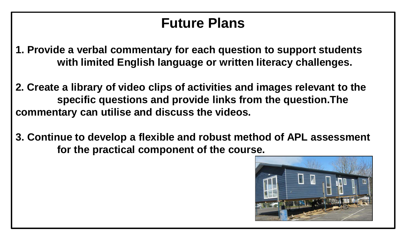### **Future Plans**

- **1. Provide a verbal commentary for each question to support students with limited English language or written literacy challenges.**
- **2. Create a library of video clips of activities and images relevant to the specific questions and provide links from the question.The commentary can utilise and discuss the videos.**
- **3. Continue to develop a flexible and robust method of APL assessment for the practical component of the course.**

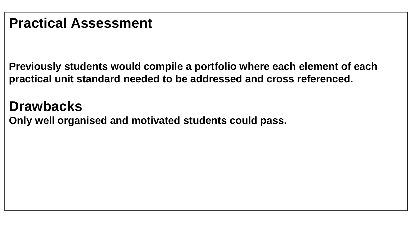**Previously students would compile a portfolio where each element of each practical unit standard needed to be addressed and cross referenced.**

### **Drawbacks**

**Only well organised and motivated students could pass.**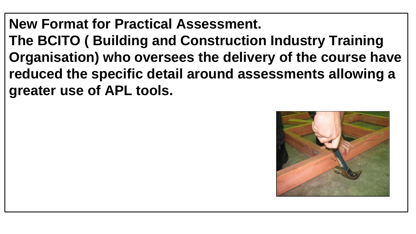**New Format for Practical Assessment. The BCITO ( Building and Construction Industry Training Organisation) who oversees the delivery of the course have reduced the specific detail around assessments allowing a greater use of APL tools.** 

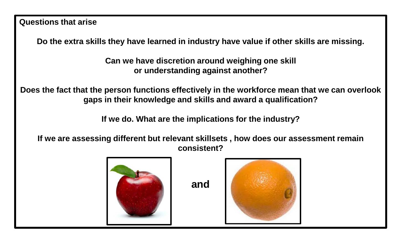**Questions that arise**

**Do the extra skills they have learned in industry have value if other skills are missing.** 

**Can we have discretion around weighing one skill or understanding against another?**

**Does the fact that the person functions effectively in the workforce mean that we can overlook gaps in their knowledge and skills and award a qualification?**

**If we do. What are the implications for the industry?**

**If we are assessing different but relevant skillsets , how does our assessment remain consistent?**



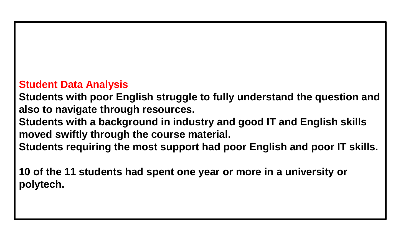### **Student Data Analysis**

**Students with poor English struggle to fully understand the question and also to navigate through resources.**

**Students with a background in industry and good IT and English skills moved swiftly through the course material.**

**Students requiring the most support had poor English and poor IT skills.**

**10 of the 11 students had spent one year or more in a university or polytech.**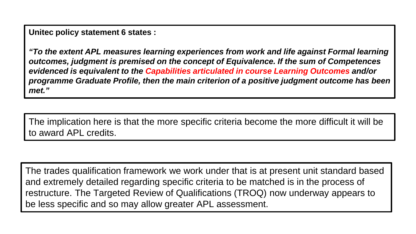**Unitec policy statement 6 states :**

*"To the extent APL measures learning experiences from work and life against Formal learning outcomes, judgment is premised on the concept of Equivalence. If the sum of Competences evidenced is equivalent to the Capabilities articulated in course Learning Outcomes and/or programme Graduate Profile, then the main criterion of a positive judgment outcome has been met."*

The implication here is that the more specific criteria become the more difficult it will be to award APL credits.

The trades qualification framework we work under that is at present unit standard based and extremely detailed regarding specific criteria to be matched is in the process of restructure. The Targeted Review of Qualifications (TROQ) now underway appears to be less specific and so may allow greater APL assessment.